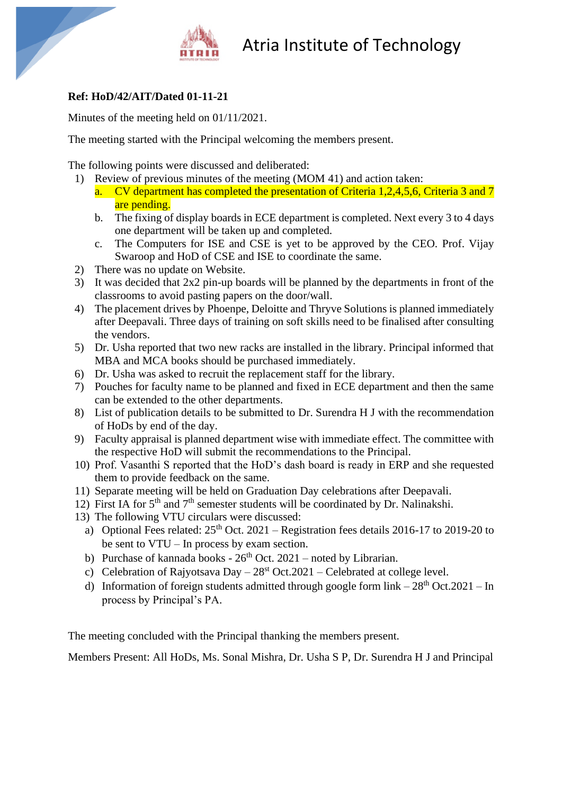

## Atria Institute of Technology

## **Ref: HoD/42/AIT/Dated 01-11-21**

Minutes of the meeting held on 01/11/2021.

The meeting started with the Principal welcoming the members present.

The following points were discussed and deliberated:

- 1) Review of previous minutes of the meeting (MOM 41) and action taken: a. CV department has completed the presentation of Criteria 1,2,4,5,6, Criteria 3 and 7
	- are pending.
	- b. The fixing of display boards in ECE department is completed. Next every 3 to 4 days one department will be taken up and completed.
	- c. The Computers for ISE and CSE is yet to be approved by the CEO. Prof. Vijay Swaroop and HoD of CSE and ISE to coordinate the same.
- 2) There was no update on Website.
- 3) It was decided that 2x2 pin-up boards will be planned by the departments in front of the classrooms to avoid pasting papers on the door/wall.
- 4) The placement drives by Phoenpe, Deloitte and Thryve Solutions is planned immediately after Deepavali. Three days of training on soft skills need to be finalised after consulting the vendors.
- 5) Dr. Usha reported that two new racks are installed in the library. Principal informed that MBA and MCA books should be purchased immediately.
- 6) Dr. Usha was asked to recruit the replacement staff for the library.
- 7) Pouches for faculty name to be planned and fixed in ECE department and then the same can be extended to the other departments.
- 8) List of publication details to be submitted to Dr. Surendra H J with the recommendation of HoDs by end of the day.
- 9) Faculty appraisal is planned department wise with immediate effect. The committee with the respective HoD will submit the recommendations to the Principal.
- 10) Prof. Vasanthi S reported that the HoD's dash board is ready in ERP and she requested them to provide feedback on the same.
- 11) Separate meeting will be held on Graduation Day celebrations after Deepavali.
- 12) First IA for  $5<sup>th</sup>$  and  $7<sup>th</sup>$  semester students will be coordinated by Dr. Nalinakshi.
- 13) The following VTU circulars were discussed:
	- a) Optional Fees related:  $25<sup>th</sup>$  Oct. 2021 Registration fees details 2016-17 to 2019-20 to be sent to VTU – In process by exam section.
	- b) Purchase of kannada books  $26<sup>th</sup>$  Oct. 2021 noted by Librarian.
	- c) Celebration of Rajyotsava Day  $-28$ <sup>st</sup> Oct. 2021 Celebrated at college level.
	- d) Information of foreign students admitted through google form  $link 28<sup>th</sup> Oct.2021 In$ process by Principal's PA.

The meeting concluded with the Principal thanking the members present.

Members Present: All HoDs, Ms. Sonal Mishra, Dr. Usha S P, Dr. Surendra H J and Principal